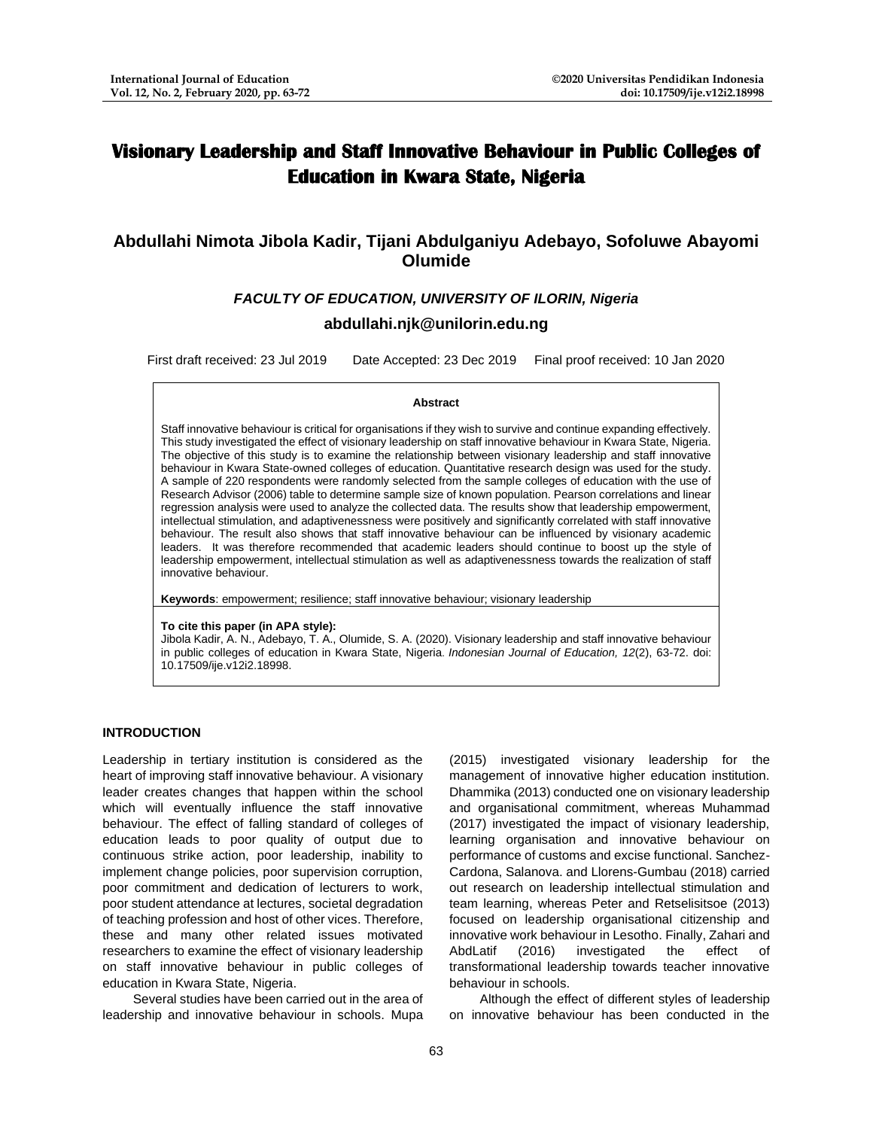# **Visionary Leadership and Staff Innovative Behaviour in Public Colleges of Education in Kwara State, Nigeria**

# **Abdullahi Nimota Jibola Kadir, Tijani Abdulganiyu Adebayo, Sofoluwe Abayomi Olumide**

# *FACULTY OF EDUCATION, UNIVERSITY OF ILORIN, Nigeria*

# **[abdullahi.njk@unilorin.edu.ng](mailto:abdullahi.njk@unilorin.edu.ng)**

First draft received: 23 Jul 2019 Date Accepted: 23 Dec 2019 Final proof received: 10 Jan 2020

#### **Abstract**

Staff innovative behaviour is critical for organisations if they wish to survive and continue expanding effectively. This study investigated the effect of visionary leadership on staff innovative behaviour in Kwara State, Nigeria. The objective of this study is to examine the relationship between visionary leadership and staff innovative behaviour in Kwara State-owned colleges of education. Quantitative research design was used for the study. A sample of 220 respondents were randomly selected from the sample colleges of education with the use of Research Advisor (2006) table to determine sample size of known population. Pearson correlations and linear regression analysis were used to analyze the collected data. The results show that leadership empowerment, intellectual stimulation, and adaptivenessness were positively and significantly correlated with staff innovative behaviour. The result also shows that staff innovative behaviour can be influenced by visionary academic leaders. It was therefore recommended that academic leaders should continue to boost up the style of leadership empowerment, intellectual stimulation as well as adaptivenessness towards the realization of staff innovative behaviour.

**Keywords**: empowerment; resilience; staff innovative behaviour; visionary leadership

### **To cite this paper (in APA style):**

Jibola Kadir, A. N., Adebayo, T. A., Olumide, S. A. (2020). Visionary leadership and staff innovative behaviour in public colleges of education in Kwara State, Nigeria. *Indonesian Journal of Education, 12*(2), 63-72. doi: 10.17509/ije.v12i2.18998.

## **INTRODUCTION**

Leadership in tertiary institution is considered as the heart of improving staff innovative behaviour. A visionary leader creates changes that happen within the school which will eventually influence the staff innovative behaviour. The effect of falling standard of colleges of education leads to poor quality of output due to continuous strike action, poor leadership, inability to implement change policies, poor supervision corruption, poor commitment and dedication of lecturers to work, poor student attendance at lectures, societal degradation of teaching profession and host of other vices. Therefore, these and many other related issues motivated researchers to examine the effect of visionary leadership on staff innovative behaviour in public colleges of education in Kwara State, Nigeria.

Several studies have been carried out in the area of leadership and innovative behaviour in schools. Mupa

(2015) investigated visionary leadership for the management of innovative higher education institution. Dhammika (2013) conducted one on visionary leadership and organisational commitment, whereas Muhammad (2017) investigated the impact of visionary leadership, learning organisation and innovative behaviour on performance of customs and excise functional. Sanchez-Cardona, Salanova. and Llorens-Gumbau (2018) carried out research on leadership intellectual stimulation and team learning, whereas Peter and Retselisitsoe (2013) focused on leadership organisational citizenship and innovative work behaviour in Lesotho. Finally, Zahari and AbdLatif (2016) investigated the effect of transformational leadership towards teacher innovative behaviour in schools.

Although the effect of different styles of leadership on innovative behaviour has been conducted in the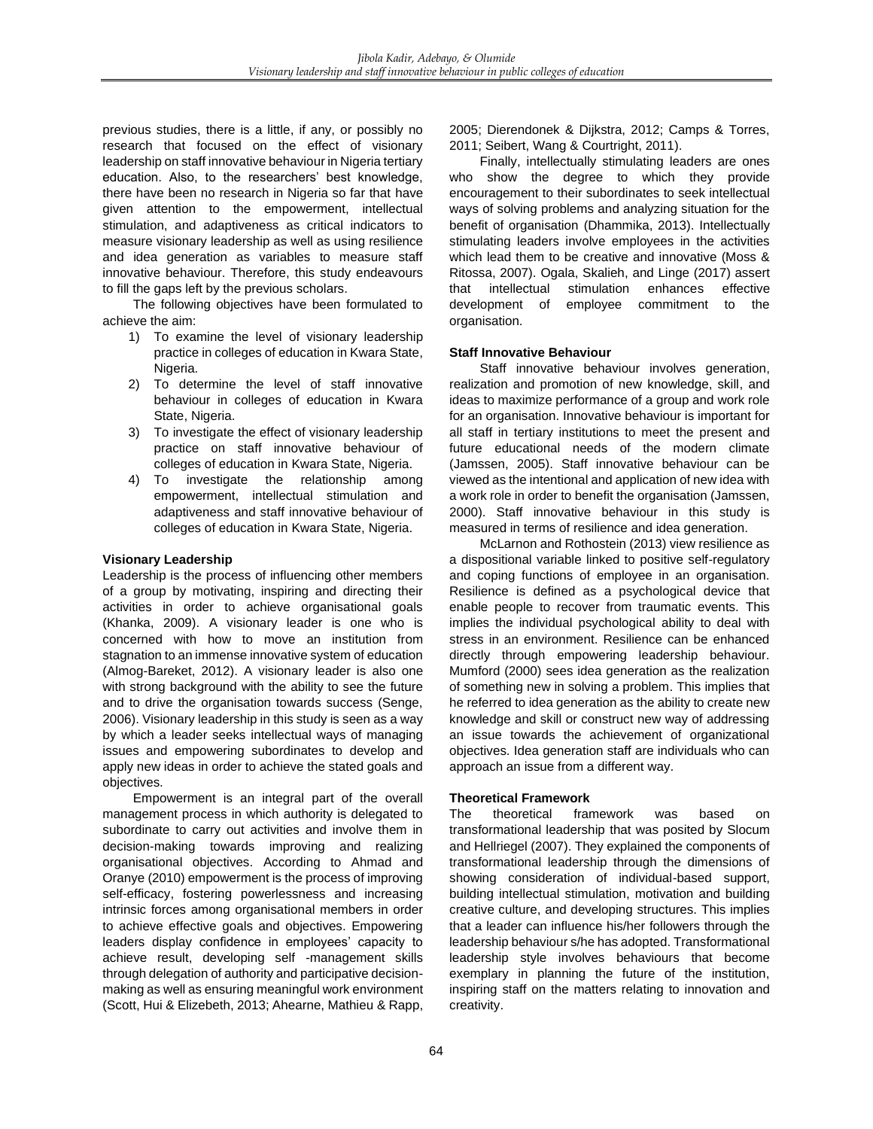previous studies, there is a little, if any, or possibly no research that focused on the effect of visionary leadership on staff innovative behaviour in Nigeria tertiary education. Also, to the researchers' best knowledge, there have been no research in Nigeria so far that have given attention to the empowerment, intellectual stimulation, and adaptiveness as critical indicators to measure visionary leadership as well as using resilience and idea generation as variables to measure staff innovative behaviour. Therefore, this study endeavours to fill the gaps left by the previous scholars.

The following objectives have been formulated to achieve the aim:

- 1) To examine the level of visionary leadership practice in colleges of education in Kwara State, Nigeria.
- 2) To determine the level of staff innovative behaviour in colleges of education in Kwara State, Nigeria.
- 3) To investigate the effect of visionary leadership practice on staff innovative behaviour of colleges of education in Kwara State, Nigeria.
- 4) To investigate the relationship among empowerment, intellectual stimulation and adaptiveness and staff innovative behaviour of colleges of education in Kwara State, Nigeria.

# **Visionary Leadership**

Leadership is the process of influencing other members of a group by motivating, inspiring and directing their activities in order to achieve organisational goals (Khanka, 2009). A visionary leader is one who is concerned with how to move an institution from stagnation to an immense innovative system of education (Almog-Bareket, 2012). A visionary leader is also one with strong background with the ability to see the future and to drive the organisation towards success (Senge, 2006). Visionary leadership in this study is seen as a way by which a leader seeks intellectual ways of managing issues and empowering subordinates to develop and apply new ideas in order to achieve the stated goals and objectives.

Empowerment is an integral part of the overall management process in which authority is delegated to subordinate to carry out activities and involve them in decision-making towards improving and realizing organisational objectives. According to Ahmad and Oranye (2010) empowerment is the process of improving self-efficacy, fostering powerlessness and increasing intrinsic forces among organisational members in order to achieve effective goals and objectives. Empowering leaders display confidence in employees' capacity to achieve result, developing self -management skills through delegation of authority and participative decisionmaking as well as ensuring meaningful work environment (Scott, Hui & Elizebeth, 2013; Ahearne, Mathieu & Rapp,

2005; Dierendonek & Dijkstra, 2012; Camps & Torres, 2011; Seibert, Wang & Courtright, 2011).

Finally, intellectually stimulating leaders are ones who show the degree to which they provide encouragement to their subordinates to seek intellectual ways of solving problems and analyzing situation for the benefit of organisation (Dhammika, 2013). Intellectually stimulating leaders involve employees in the activities which lead them to be creative and innovative (Moss & Ritossa, 2007). Ogala, Skalieh, and Linge (2017) assert that intellectual stimulation enhances effective development of employee commitment to the organisation.

## **Staff Innovative Behaviour**

Staff innovative behaviour involves generation, realization and promotion of new knowledge, skill, and ideas to maximize performance of a group and work role for an organisation. Innovative behaviour is important for all staff in tertiary institutions to meet the present and future educational needs of the modern climate (Jamssen, 2005). Staff innovative behaviour can be viewed as the intentional and application of new idea with a work role in order to benefit the organisation (Jamssen, 2000). Staff innovative behaviour in this study is measured in terms of resilience and idea generation.

McLarnon and Rothostein (2013) view resilience as a dispositional variable linked to positive self-regulatory and coping functions of employee in an organisation. Resilience is defined as a psychological device that enable people to recover from traumatic events. This implies the individual psychological ability to deal with stress in an environment. Resilience can be enhanced directly through empowering leadership behaviour. Mumford (2000) sees idea generation as the realization of something new in solving a problem. This implies that he referred to idea generation as the ability to create new knowledge and skill or construct new way of addressing an issue towards the achievement of organizational objectives. Idea generation staff are individuals who can approach an issue from a different way.

## **Theoretical Framework**

The theoretical framework was based on transformational leadership that was posited by Slocum and Hellriegel (2007). They explained the components of transformational leadership through the dimensions of showing consideration of individual-based support, building intellectual stimulation, motivation and building creative culture, and developing structures. This implies that a leader can influence his/her followers through the leadership behaviour s/he has adopted. Transformational leadership style involves behaviours that become exemplary in planning the future of the institution, inspiring staff on the matters relating to innovation and creativity.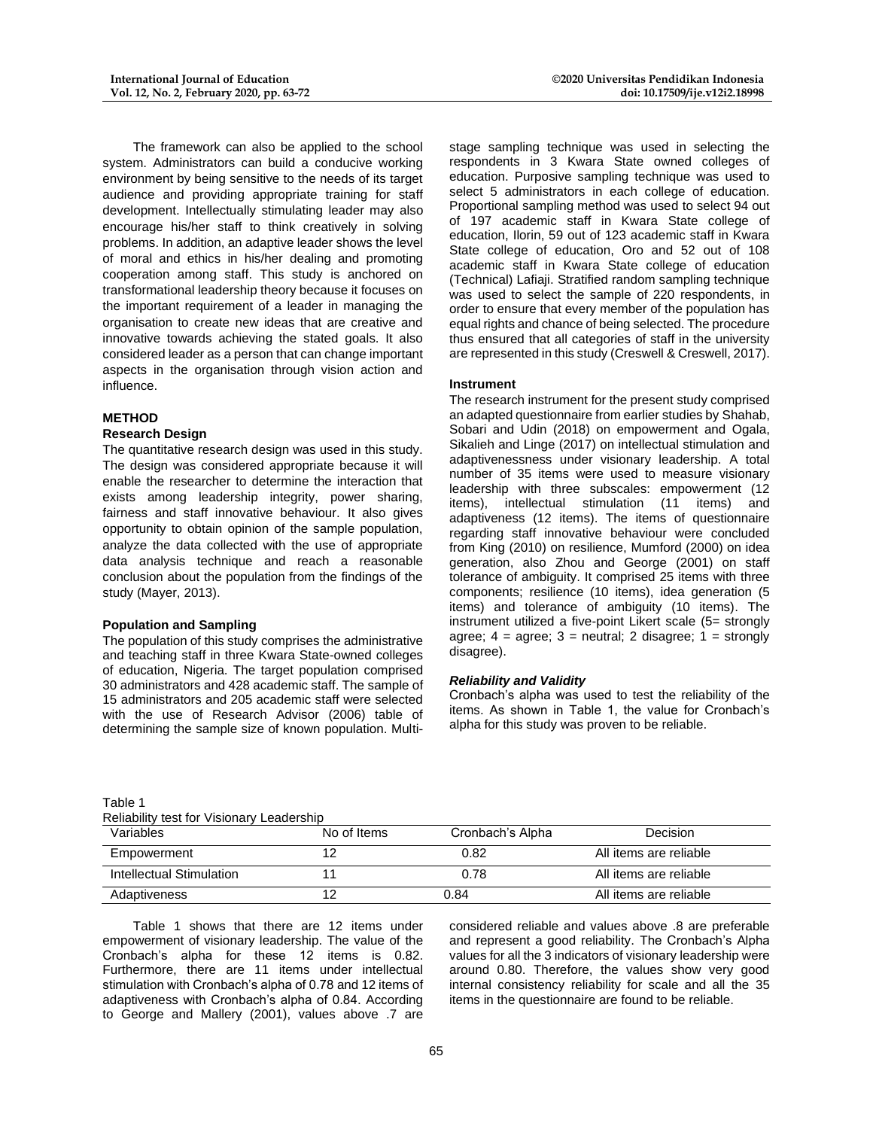The framework can also be applied to the school system. Administrators can build a conducive working environment by being sensitive to the needs of its target audience and providing appropriate training for staff development. Intellectually stimulating leader may also encourage his/her staff to think creatively in solving problems. In addition, an adaptive leader shows the level of moral and ethics in his/her dealing and promoting cooperation among staff. This study is anchored on transformational leadership theory because it focuses on the important requirement of a leader in managing the organisation to create new ideas that are creative and innovative towards achieving the stated goals. It also considered leader as a person that can change important aspects in the organisation through vision action and influence.

### **METHOD**

### **Research Design**

The quantitative research design was used in this study. The design was considered appropriate because it will enable the researcher to determine the interaction that exists among leadership integrity, power sharing, fairness and staff innovative behaviour. It also gives opportunity to obtain opinion of the sample population, analyze the data collected with the use of appropriate data analysis technique and reach a reasonable conclusion about the population from the findings of the study (Mayer, 2013).

### **Population and Sampling**

The population of this study comprises the administrative and teaching staff in three Kwara State-owned colleges of education, Nigeria. The target population comprised 30 administrators and 428 academic staff. The sample of 15 administrators and 205 academic staff were selected with the use of Research Advisor (2006) table of determining the sample size of known population. Multistage sampling technique was used in selecting the respondents in 3 Kwara State owned colleges of education. Purposive sampling technique was used to select 5 administrators in each college of education. Proportional sampling method was used to select 94 out of 197 academic staff in Kwara State college of education, Ilorin, 59 out of 123 academic staff in Kwara State college of education, Oro and 52 out of 108 academic staff in Kwara State college of education (Technical) Lafiaji. Stratified random sampling technique was used to select the sample of 220 respondents, in order to ensure that every member of the population has equal rights and chance of being selected. The procedure thus ensured that all categories of staff in the university are represented in this study (Creswell & Creswell, 2017).

### **Instrument**

The research instrument for the present study comprised an adapted questionnaire from earlier studies by Shahab, Sobari and Udin (2018) on empowerment and Ogala, Sikalieh and Linge (2017) on intellectual stimulation and adaptivenessness under visionary leadership. A total number of 35 items were used to measure visionary leadership with three subscales: empowerment (12 items), intellectual stimulation (11 items) and adaptiveness (12 items). The items of questionnaire regarding staff innovative behaviour were concluded from King (2010) on resilience, Mumford (2000) on idea generation, also Zhou and George (2001) on staff tolerance of ambiguity. It comprised 25 items with three components; resilience (10 items), idea generation (5 items) and tolerance of ambiguity (10 items). The instrument utilized a five-point Likert scale (5= strongly agree;  $4 = \text{agree}$ ;  $3 = \text{neutral}$ ;  $2 \text{ disagree}$ ;  $1 = \text{strongly}$ disagree).

### *Reliability and Validity*

Cronbach's alpha was used to test the reliability of the items. As shown in Table 1, the value for Cronbach's alpha for this study was proven to be reliable.

Table 1 Reliability test for Visionary Leadership

| INGIRIOIIIN NGC IOI VIGIOIRIV EGUUGIOIIID |             |                  |                        |  |  |
|-------------------------------------------|-------------|------------------|------------------------|--|--|
| Variables                                 | No of Items | Cronbach's Alpha | <b>Decision</b>        |  |  |
| Empowerment                               |             | 0.82             | All items are reliable |  |  |
| Intellectual Stimulation                  |             | 0.78             | All items are reliable |  |  |
| Adaptiveness                              |             | 0.84             | All items are reliable |  |  |

Table 1 shows that there are 12 items under empowerment of visionary leadership. The value of the Cronbach's alpha for these 12 items is 0.82. Furthermore, there are 11 items under intellectual stimulation with Cronbach's alpha of 0.78 and 12 items of adaptiveness with Cronbach's alpha of 0.84. According to George and Mallery (2001), values above .7 are

considered reliable and values above .8 are preferable and represent a good reliability. The Cronbach's Alpha values for all the 3 indicators of visionary leadership were around 0.80. Therefore, the values show very good internal consistency reliability for scale and all the 35 items in the questionnaire are found to be reliable.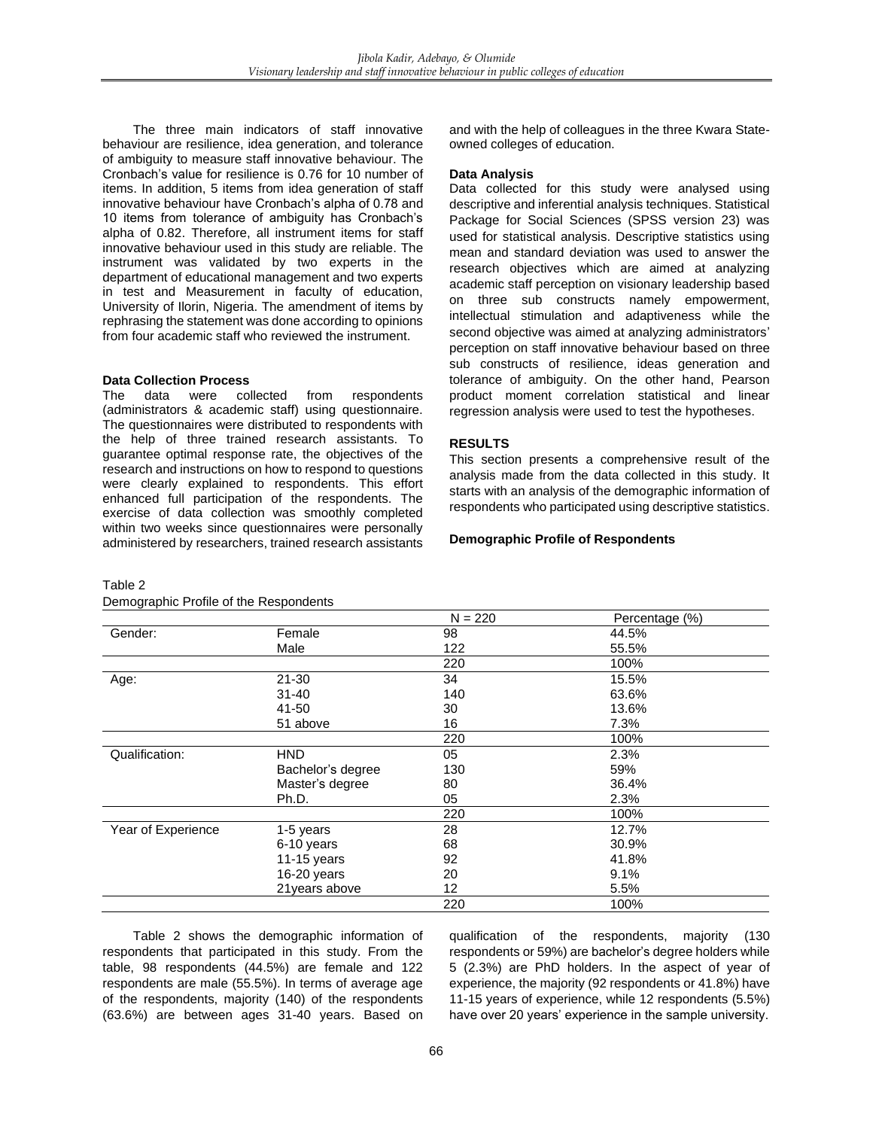The three main indicators of staff innovative behaviour are resilience, idea generation, and tolerance of ambiguity to measure staff innovative behaviour. The Cronbach's value for resilience is 0.76 for 10 number of items. In addition, 5 items from idea generation of staff innovative behaviour have Cronbach's alpha of 0.78 and 10 items from tolerance of ambiguity has Cronbach's alpha of 0.82. Therefore, all instrument items for staff innovative behaviour used in this study are reliable. The instrument was validated by two experts in the department of educational management and two experts in test and Measurement in faculty of education, University of Ilorin, Nigeria. The amendment of items by rephrasing the statement was done according to opinions from four academic staff who reviewed the instrument.

### **Data Collection Process**

The data were collected from respondents (administrators & academic staff) using questionnaire. The questionnaires were distributed to respondents with the help of three trained research assistants. To guarantee optimal response rate, the objectives of the research and instructions on how to respond to questions were clearly explained to respondents. This effort enhanced full participation of the respondents. The exercise of data collection was smoothly completed within two weeks since questionnaires were personally administered by researchers, trained research assistants

### Table 2

# Demographic Profile of the Respondents

and with the help of colleagues in the three Kwara Stateowned colleges of education.

### **Data Analysis**

Data collected for this study were analysed using descriptive and inferential analysis techniques. Statistical Package for Social Sciences (SPSS version 23) was used for statistical analysis. Descriptive statistics using mean and standard deviation was used to answer the research objectives which are aimed at analyzing academic staff perception on visionary leadership based on three sub constructs namely empowerment, intellectual stimulation and adaptiveness while the second objective was aimed at analyzing administrators' perception on staff innovative behaviour based on three sub constructs of resilience, ideas generation and tolerance of ambiguity. On the other hand, Pearson product moment correlation statistical and linear regression analysis were used to test the hypotheses.

### **RESULTS**

This section presents a comprehensive result of the analysis made from the data collected in this study. It starts with an analysis of the demographic information of respondents who participated using descriptive statistics.

#### **Demographic Profile of Respondents**

|                    |                   | $N = 220$ | Percentage (%) |
|--------------------|-------------------|-----------|----------------|
| Gender:            | Female            | 98        | 44.5%          |
|                    | Male              | 122       | 55.5%          |
|                    |                   | 220       | 100%           |
| Age:               | $21 - 30$         | 34        | 15.5%          |
|                    | $31 - 40$         | 140       | 63.6%          |
|                    | 41-50             | 30        | 13.6%          |
|                    | 51 above          | 16        | 7.3%           |
|                    |                   | 220       | 100%           |
| Qualification:     | <b>HND</b>        | 05        | 2.3%           |
|                    | Bachelor's degree | 130       | 59%            |
|                    | Master's degree   | 80        | 36.4%          |
|                    | Ph.D.             | 05        | 2.3%           |
|                    |                   | 220       | 100%           |
| Year of Experience | 1-5 years         | 28        | 12.7%          |
|                    | 6-10 years        | 68        | 30.9%          |
|                    | 11-15 years       | 92        | 41.8%          |
|                    | 16-20 years       | 20        | 9.1%           |
|                    | 21years above     | 12        | 5.5%           |
|                    |                   | 220       | 100%           |

Table 2 shows the demographic information of respondents that participated in this study. From the table, 98 respondents (44.5%) are female and 122 respondents are male (55.5%). In terms of average age of the respondents, majority (140) of the respondents (63.6%) are between ages 31-40 years. Based on

qualification of the respondents, majority (130 respondents or 59%) are bachelor's degree holders while 5 (2.3%) are PhD holders. In the aspect of year of experience, the majority (92 respondents or 41.8%) have 11-15 years of experience, while 12 respondents (5.5%) have over 20 years' experience in the sample university.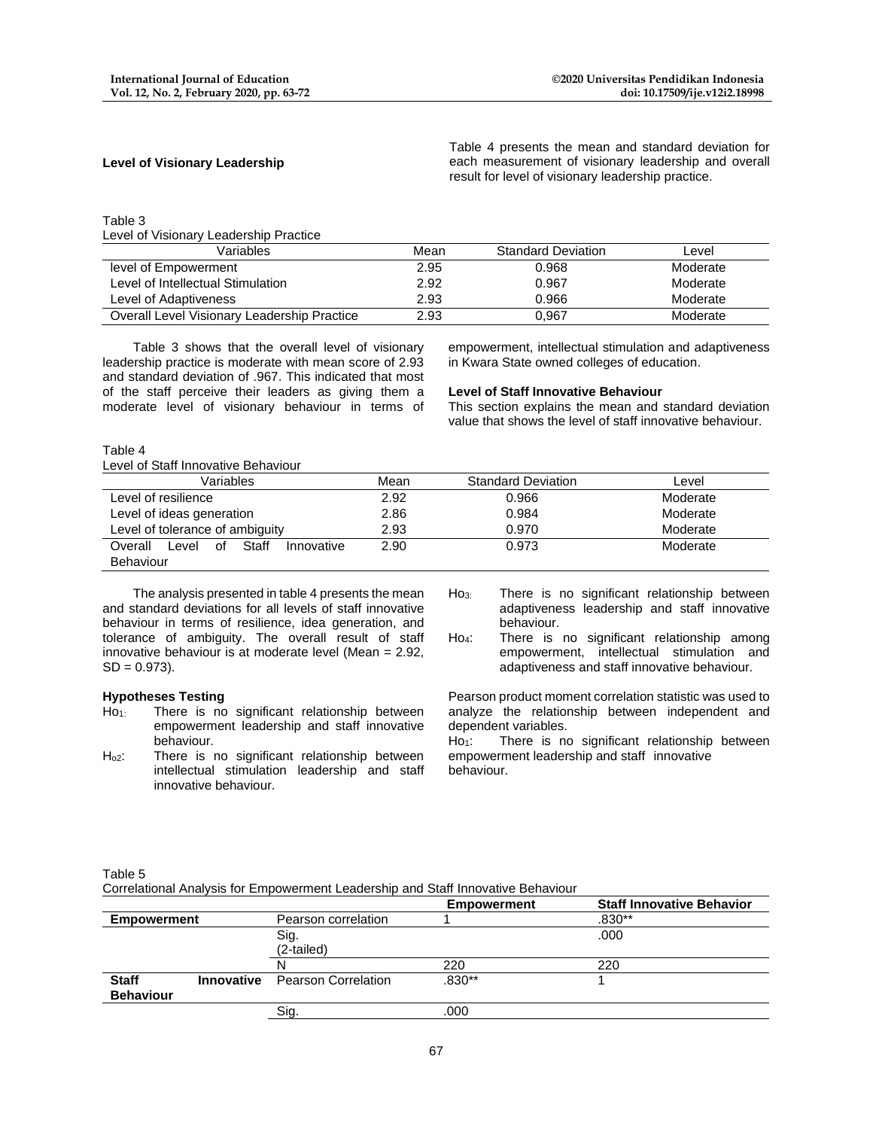# **Level of Visionary Leadership**

Table 4 presents the mean and standard deviation for each measurement of visionary leadership and overall result for level of visionary leadership practice.

### Table 3

Level of Visionary Leadership Practice

| Variables                                   | Mean | <b>Standard Deviation</b> | Level    |
|---------------------------------------------|------|---------------------------|----------|
| level of Empowerment                        | 2.95 | 0.968                     | Moderate |
| Level of Intellectual Stimulation           | 2.92 | 0.967                     | Moderate |
| Level of Adaptiveness                       | 2.93 | 0.966                     | Moderate |
| Overall Level Visionary Leadership Practice | 2.93 | 0,967                     | Moderate |

Table 3 shows that the overall level of visionary leadership practice is moderate with mean score of 2.93 and standard deviation of .967. This indicated that most of the staff perceive their leaders as giving them a moderate level of visionary behaviour in terms of

empowerment, intellectual stimulation and adaptiveness in Kwara State owned colleges of education.

### **Level of Staff Innovative Behaviour**

This section explains the mean and standard deviation value that shows the level of staff innovative behaviour.

#### Table 4

Level of Staff Innovative Behaviour

| Variables                                     | Mean | <b>Standard Deviation</b> | Level    |
|-----------------------------------------------|------|---------------------------|----------|
| Level of resilience                           | 2.92 | 0.966                     | Moderate |
| Level of ideas generation                     | 2.86 | 0.984                     | Moderate |
| Level of tolerance of ambiguity               | 2.93 | 0.970                     | Moderate |
| Staff<br>Overall<br>Level<br>Innovative<br>0f | 2.90 | 0.973                     | Moderate |
| Behaviour                                     |      |                           |          |

The analysis presented in table 4 presents the mean and standard deviations for all levels of staff innovative behaviour in terms of resilience, idea generation, and tolerance of ambiguity. The overall result of staff innovative behaviour is at moderate level (Mean = 2.92,  $SD = 0.973$ ).

#### **Hypotheses Testing**

- $Ho<sub>1</sub>:$  There is no significant relationship between empowerment leadership and staff innovative behaviour.
- H<sub>o2</sub>: There is no significant relationship between intellectual stimulation leadership and staff innovative behaviour.
- Ho<sub>3:</sub> There is no significant relationship between adaptiveness leadership and staff innovative behaviour.
- Ho4: There is no significant relationship among empowerment, intellectual stimulation and adaptiveness and staff innovative behaviour.

Pearson product moment correlation statistic was used to analyze the relationship between independent and dependent variables.

Ho<sub>1</sub>: There is no significant relationship between empowerment leadership and staff innovative behaviour.

### Table 5

Correlational Analysis for Empowerment Leadership and Staff Innovative Behaviour

|                    |                   |                            | <b>Empowerment</b> | <b>Staff Innovative Behavior</b> |
|--------------------|-------------------|----------------------------|--------------------|----------------------------------|
| <b>Empowerment</b> |                   | Pearson correlation        |                    | $.830**$                         |
|                    |                   | Sig.                       |                    | .000                             |
|                    |                   | (2-tailed)                 |                    |                                  |
|                    |                   |                            | 220                | 220                              |
| <b>Staff</b>       | <b>Innovative</b> | <b>Pearson Correlation</b> | $.830**$           |                                  |
| <b>Behaviour</b>   |                   |                            |                    |                                  |
|                    |                   | Sia                        | 000                |                                  |
|                    |                   |                            |                    |                                  |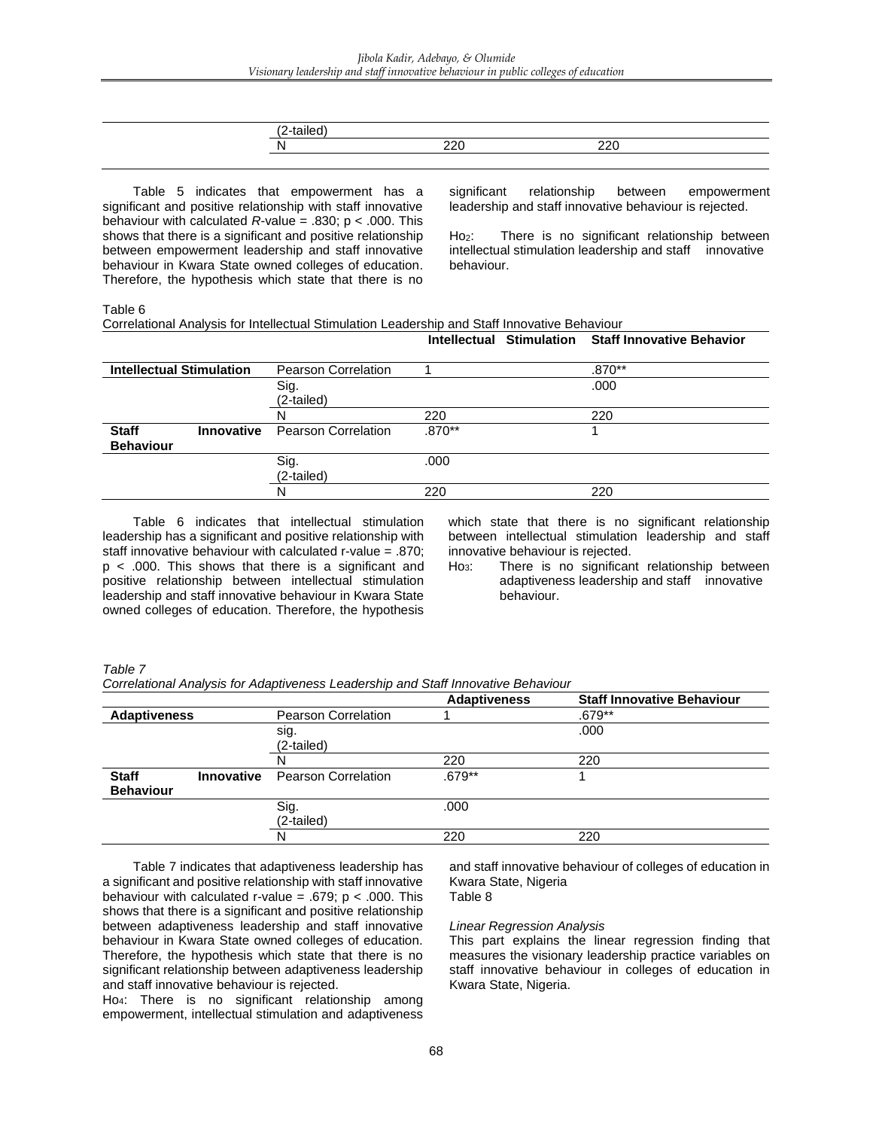Table 5 indicates that empowerment has a significant and positive relationship with staff innovative behaviour with calculated *R*-value = .830; p < .000. This shows that there is a significant and positive relationship between empowerment leadership and staff innovative behaviour in Kwara State owned colleges of education. Therefore, the hypothesis which state that there is no

significant relationship between empowerment leadership and staff innovative behaviour is rejected.

Ho<sub>2</sub>: There is no significant relationship between intellectual stimulation leadership and staff innovative behaviour.

Table 6

| Correlational Analysis for Intellectual Stimulation Leadership and Staff Innovative Behaviour |  |
|-----------------------------------------------------------------------------------------------|--|
|-----------------------------------------------------------------------------------------------|--|

|                                  |                   |                            |          | Intellectual Stimulation Staff Innovative Behavior |
|----------------------------------|-------------------|----------------------------|----------|----------------------------------------------------|
| <b>Intellectual Stimulation</b>  |                   | <b>Pearson Correlation</b> |          | $.870**$                                           |
|                                  |                   | Sig.<br>(2-tailed)         |          | .000                                               |
|                                  |                   | N                          | 220      | 220                                                |
| <b>Staff</b><br><b>Behaviour</b> | <b>Innovative</b> | <b>Pearson Correlation</b> | $.870**$ |                                                    |
|                                  |                   | Sig.<br>(2-tailed)         | .000     |                                                    |
|                                  |                   | N                          | 220      | 220                                                |

Table 6 indicates that intellectual stimulation leadership has a significant and positive relationship with staff innovative behaviour with calculated r-value = .870; p < .000. This shows that there is a significant and positive relationship between intellectual stimulation leadership and staff innovative behaviour in Kwara State owned colleges of education. Therefore, the hypothesis which state that there is no significant relationship between intellectual stimulation leadership and staff innovative behaviour is rejected.

Ho<sub>3</sub>: There is no significant relationship between adaptiveness leadership and staff innovative behaviour.

*Table 7*

*Correlational Analysis for Adaptiveness Leadership and Staff Innovative Behaviour*

|                                  |                   |                            | <b>Adaptiveness</b> | <b>Staff Innovative Behaviour</b> |
|----------------------------------|-------------------|----------------------------|---------------------|-----------------------------------|
| <b>Adaptiveness</b>              |                   | Pearson Correlation        |                     | .679**                            |
|                                  |                   | sig.<br>(2-tailed)         |                     | .000                              |
|                                  |                   | N                          | 220                 | 220                               |
| <b>Staff</b><br><b>Behaviour</b> | <b>Innovative</b> | <b>Pearson Correlation</b> | $.679**$            |                                   |
|                                  |                   | Sig.<br>(2-tailed)         | .000                |                                   |
|                                  |                   | N                          | 220                 | 220                               |

Table 7 indicates that adaptiveness leadership has a significant and positive relationship with staff innovative behaviour with calculated r-value = .679;  $p < .000$ . This shows that there is a significant and positive relationship between adaptiveness leadership and staff innovative behaviour in Kwara State owned colleges of education. Therefore, the hypothesis which state that there is no significant relationship between adaptiveness leadership and staff innovative behaviour is rejected.

Ho4: There is no significant relationship among empowerment, intellectual stimulation and adaptiveness

and staff innovative behaviour of colleges of education in Kwara State, Nigeria

Table 8

### *Linear Regression Analysis*

This part explains the linear regression finding that measures the visionary leadership practice variables on staff innovative behaviour in colleges of education in Kwara State, Nigeria.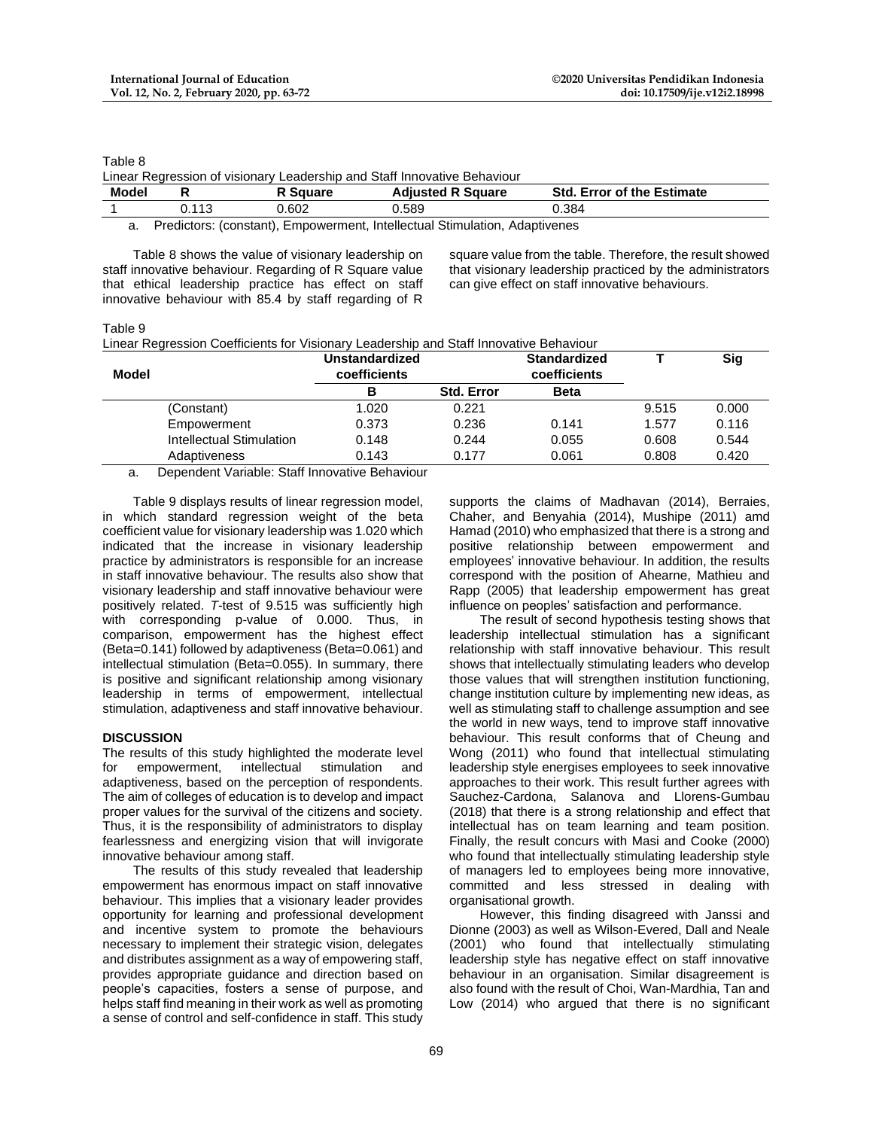Table 8

|  |  | Linear Regression of visionary Leadership and Staff Innovative Behaviour |
|--|--|--------------------------------------------------------------------------|

| Model |                | uare<br> | <b>Adiusted R Square</b> | Std<br><b>Error of the Estimate</b> |
|-------|----------------|----------|--------------------------|-------------------------------------|
|       | $\lambda$<br>. | 0.602    | 0.589                    | 0.384                               |
|       |                | .        | .                        |                                     |

a. Predictors: (constant), Empowerment, Intellectual Stimulation, Adaptivenes

Table 8 shows the value of visionary leadership on staff innovative behaviour. Regarding of R Square value that ethical leadership practice has effect on staff innovative behaviour with 85.4 by staff regarding of R

square value from the table. Therefore, the result showed that visionary leadership practiced by the administrators can give effect on staff innovative behaviours.

Table 9

| Linear Regression Coefficients for Visionary Leadership and Staff Innovative Behaviour |  |  |
|----------------------------------------------------------------------------------------|--|--|
|----------------------------------------------------------------------------------------|--|--|

| Model                    | <b>Unstandardized</b><br>coefficients |                   | <b>Standardized</b><br>coefficients |       | Sig   |
|--------------------------|---------------------------------------|-------------------|-------------------------------------|-------|-------|
|                          | в                                     | <b>Std. Error</b> | <b>Beta</b>                         |       |       |
| (Constant)               | 1.020                                 | 0.221             |                                     | 9.515 | 0.000 |
| Empowerment              | 0.373                                 | 0.236             | 0.141                               | 1.577 | 0.116 |
| Intellectual Stimulation | 0.148                                 | 0.244             | 0.055                               | 0.608 | 0.544 |
| Adaptiveness             | 0.143                                 | 0.177             | 0.061                               | 0.808 | 0.420 |

a. Dependent Variable: Staff Innovative Behaviour

Table 9 displays results of linear regression model, in which standard regression weight of the beta coefficient value for visionary leadership was 1.020 which indicated that the increase in visionary leadership practice by administrators is responsible for an increase in staff innovative behaviour. The results also show that visionary leadership and staff innovative behaviour were positively related. *T*-test of 9.515 was sufficiently high with corresponding p-value of 0.000. Thus, in comparison, empowerment has the highest effect (Beta=0.141) followed by adaptiveness (Beta=0.061) and intellectual stimulation (Beta=0.055). In summary, there is positive and significant relationship among visionary leadership in terms of empowerment, intellectual stimulation, adaptiveness and staff innovative behaviour.

## **DISCUSSION**

The results of this study highlighted the moderate level for empowerment, intellectual stimulation and adaptiveness, based on the perception of respondents. The aim of colleges of education is to develop and impact proper values for the survival of the citizens and society. Thus, it is the responsibility of administrators to display fearlessness and energizing vision that will invigorate innovative behaviour among staff.

The results of this study revealed that leadership empowerment has enormous impact on staff innovative behaviour. This implies that a visionary leader provides opportunity for learning and professional development and incentive system to promote the behaviours necessary to implement their strategic vision, delegates and distributes assignment as a way of empowering staff, provides appropriate guidance and direction based on people's capacities, fosters a sense of purpose, and helps staff find meaning in their work as well as promoting a sense of control and self-confidence in staff. This study

supports the claims of Madhavan (2014), Berraies, Chaher, and Benyahia (2014), Mushipe (2011) amd Hamad (2010) who emphasized that there is a strong and positive relationship between empowerment and employees' innovative behaviour. In addition, the results correspond with the position of Ahearne, Mathieu and Rapp (2005) that leadership empowerment has great influence on peoples' satisfaction and performance.

The result of second hypothesis testing shows that leadership intellectual stimulation has a significant relationship with staff innovative behaviour. This result shows that intellectually stimulating leaders who develop those values that will strengthen institution functioning, change institution culture by implementing new ideas, as well as stimulating staff to challenge assumption and see the world in new ways, tend to improve staff innovative behaviour. This result conforms that of Cheung and Wong (2011) who found that intellectual stimulating leadership style energises employees to seek innovative approaches to their work. This result further agrees with Sauchez-Cardona, Salanova and Llorens-Gumbau (2018) that there is a strong relationship and effect that intellectual has on team learning and team position. Finally, the result concurs with Masi and Cooke (2000) who found that intellectually stimulating leadership style of managers led to employees being more innovative, committed and less stressed in dealing with organisational growth.

However, this finding disagreed with Janssi and Dionne (2003) as well as Wilson-Evered, Dall and Neale (2001) who found that intellectually stimulating leadership style has negative effect on staff innovative behaviour in an organisation. Similar disagreement is also found with the result of Choi, Wan-Mardhia, Tan and Low (2014) who argued that there is no significant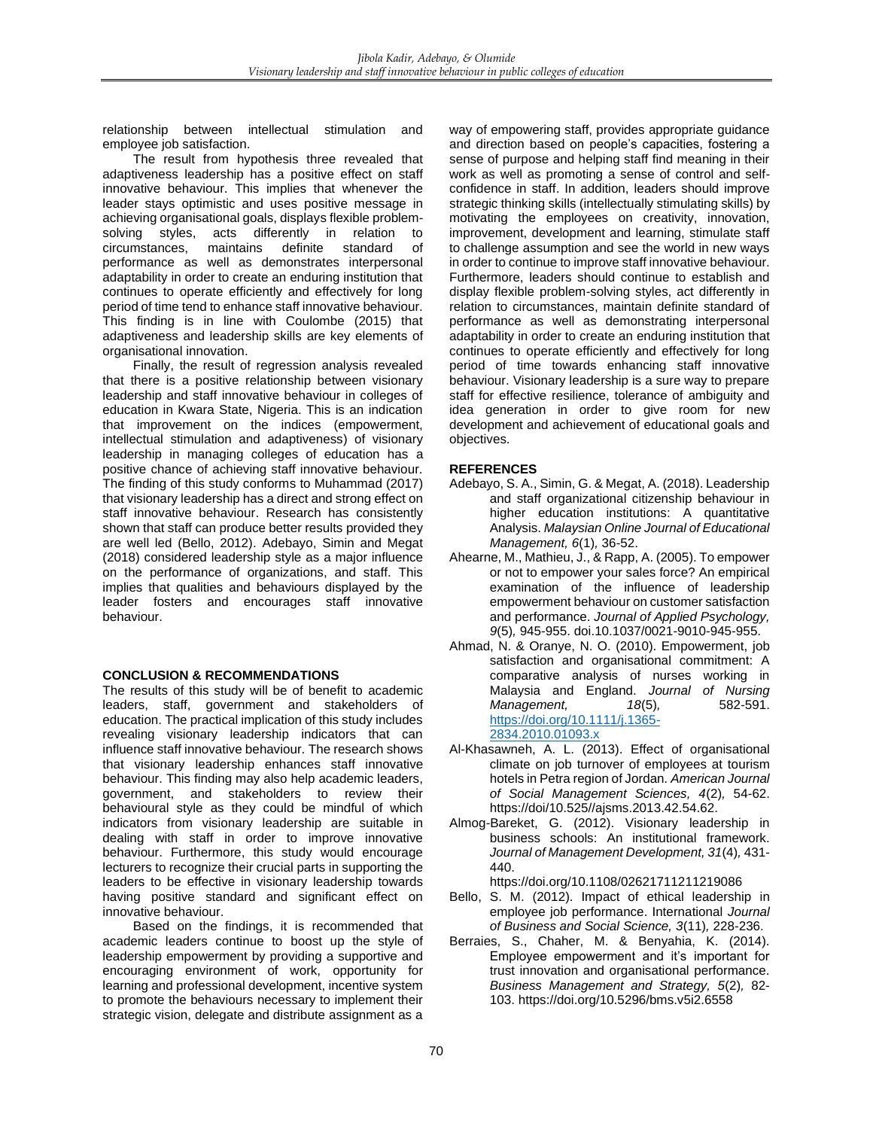relationship between intellectual stimulation and employee job satisfaction.

The result from hypothesis three revealed that adaptiveness leadership has a positive effect on staff innovative behaviour. This implies that whenever the leader stays optimistic and uses positive message in achieving organisational goals, displays flexible problemsolving styles, acts differently in relation to circumstances, maintains definite standard of performance as well as demonstrates interpersonal adaptability in order to create an enduring institution that continues to operate efficiently and effectively for long period of time tend to enhance staff innovative behaviour. This finding is in line with Coulombe (2015) that adaptiveness and leadership skills are key elements of organisational innovation.

Finally, the result of regression analysis revealed that there is a positive relationship between visionary leadership and staff innovative behaviour in colleges of education in Kwara State, Nigeria. This is an indication that improvement on the indices (empowerment, intellectual stimulation and adaptiveness) of visionary leadership in managing colleges of education has a positive chance of achieving staff innovative behaviour. The finding of this study conforms to Muhammad (2017) that visionary leadership has a direct and strong effect on staff innovative behaviour. Research has consistently shown that staff can produce better results provided they are well led (Bello, 2012). Adebayo, Simin and Megat (2018) considered leadership style as a major influence on the performance of organizations, and staff. This implies that qualities and behaviours displayed by the leader fosters and encourages staff innovative behaviour.

## **CONCLUSION & RECOMMENDATIONS**

The results of this study will be of benefit to academic leaders, staff, government and stakeholders of education. The practical implication of this study includes revealing visionary leadership indicators that can influence staff innovative behaviour. The research shows that visionary leadership enhances staff innovative behaviour. This finding may also help academic leaders, government, and stakeholders to review their behavioural style as they could be mindful of which indicators from visionary leadership are suitable in dealing with staff in order to improve innovative behaviour. Furthermore, this study would encourage lecturers to recognize their crucial parts in supporting the leaders to be effective in visionary leadership towards having positive standard and significant effect on innovative behaviour.

Based on the findings, it is recommended that academic leaders continue to boost up the style of leadership empowerment by providing a supportive and encouraging environment of work, opportunity for learning and professional development, incentive system to promote the behaviours necessary to implement their strategic vision, delegate and distribute assignment as a

way of empowering staff, provides appropriate guidance and direction based on people's capacities, fostering a sense of purpose and helping staff find meaning in their work as well as promoting a sense of control and selfconfidence in staff. In addition, leaders should improve strategic thinking skills (intellectually stimulating skills) by motivating the employees on creativity, innovation, improvement, development and learning, stimulate staff to challenge assumption and see the world in new ways in order to continue to improve staff innovative behaviour. Furthermore, leaders should continue to establish and display flexible problem-solving styles, act differently in relation to circumstances, maintain definite standard of performance as well as demonstrating interpersonal adaptability in order to create an enduring institution that continues to operate efficiently and effectively for long period of time towards enhancing staff innovative behaviour. Visionary leadership is a sure way to prepare staff for effective resilience, tolerance of ambiguity and idea generation in order to give room for new development and achievement of educational goals and objectives.

## **REFERENCES**

- Adebayo, S. A., Simin, G. & Megat, A. (2018). Leadership and staff organizational citizenship behaviour in higher education institutions: A quantitative Analysis. *Malaysian Online Journal of Educational Management, 6*(1)*,* 36-52.
- Ahearne, M., Mathieu, J., & Rapp, A. (2005). To empower or not to empower your sales force? An empirical examination of the influence of leadership empowerment behaviour on customer satisfaction and performance. *Journal of Applied Psychology, 9*(5)*,* 945-955. doi.10.1037/0021-9010-945-955.
- Ahmad, N. & Oranye, N. O. (2010). Empowerment, job satisfaction and organisational commitment: A comparative analysis of nurses working in Malaysia and England. *Journal of Nursing Management,* 18(5), [https://doi.org/10.1111/j.1365-](https://doi.org/10.1111/j.1365-2834.2010.01093.x) [2834.2010.01093.x](https://doi.org/10.1111/j.1365-2834.2010.01093.x)
- Al-Khasawneh, A. L. (2013). Effect of organisational climate on job turnover of employees at tourism hotels in Petra region of Jordan. *American Journal of Social Management Sciences, 4*(2)*,* 54-62. https://doi/10.525//ajsms.2013.42.54.62.
- Almog-Bareket, G. (2012). Visionary leadership in business schools: An institutional framework. *Journal of Management Development, 31*(4)*,* 431- 440.

https://doi.org/10.1108/02621711211219086

- Bello, S. M. (2012). Impact of ethical leadership in employee job performance. International *Journal of Business and Social Science, 3*(11)*,* 228-236.
- Berraies, S., Chaher, M. & Benyahia, K. (2014). Employee empowerment and it's important for trust innovation and organisational performance. *Business Management and Strategy, 5*(2)*,* 82- 103. https://doi.org/10.5296/bms.v5i2.6558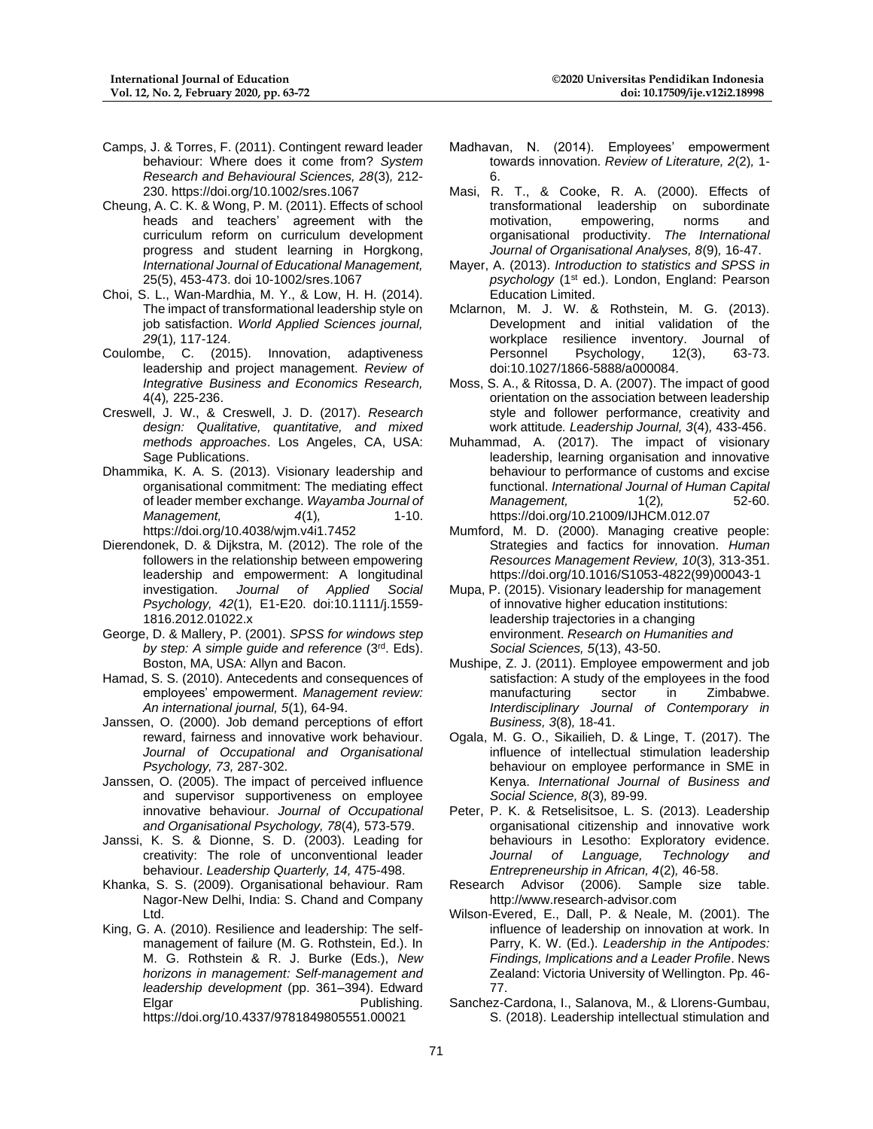- Camps, J. & Torres, F. (2011). Contingent reward leader behaviour: Where does it come from? *System Research and Behavioural Sciences, 28*(3)*,* 212- 230. https://doi.org/10.1002/sres.1067
- Cheung, A. C. K. & Wong, P. M. (2011). Effects of school heads and teachers' agreement with the curriculum reform on curriculum development progress and student learning in Horgkong, *International Journal of Educational Management,*  25(5), 453-473. doi 10-1002/sres.1067
- Choi, S. L., Wan-Mardhia, M. Y., & Low, H. H. (2014). The impact of transformational leadership style on job satisfaction. *World Applied Sciences journal, 29*(1)*,* 117-124.
- Coulombe, C. (2015). Innovation, adaptiveness leadership and project management. *Review of Integrative Business and Economics Research,* 4(4)*,* 225-236.
- Creswell, J. W., & Creswell, J. D. (2017). *Research design: Qualitative, quantitative, and mixed methods approaches*. Los Angeles, CA, USA: Sage Publications.
- Dhammika, K. A. S. (2013). Visionary leadership and organisational commitment: The mediating effect of leader member exchange. *Wayamba Journal of Management,* 4(1), 1-10. https://doi.org/10.4038/wjm.v4i1.7452
- Dierendonek, D. & Dijkstra, M. (2012). The role of the followers in the relationship between empowering leadership and empowerment: A longitudinal investigation. *Journal of Applied Social Psychology, 42*(1)*,* E1-E20. doi:10.1111/j.1559- 1816.2012.01022.x
- George, D. & Mallery, P. (2001). *SPSS for windows step by step: A simple guide and reference* (3rd. Eds). Boston, MA, USA: Allyn and Bacon.
- Hamad, S. S. (2010). Antecedents and consequences of employees' empowerment. *Management review: An international journal, 5*(1)*,* 64-94.
- Janssen, O. (2000). Job demand perceptions of effort reward, fairness and innovative work behaviour. *Journal of Occupational and Organisational Psychology, 73,* 287-302.
- Janssen, O. (2005). The impact of perceived influence and supervisor supportiveness on employee innovative behaviour. *Journal of Occupational and Organisational Psychology, 78*(4)*,* 573-579.
- Janssi, K. S. & Dionne, S. D. (2003). Leading for creativity: The role of unconventional leader behaviour. *Leadership Quarterly, 14,* 475-498.
- Khanka, S. S. (2009). Organisational behaviour. Ram Nagor-New Delhi, India: S. Chand and Company Ltd.
- King, G. A. (2010). Resilience and leadership: The selfmanagement of failure (M. G. Rothstein, Ed.). In M. G. Rothstein & R. J. Burke (Eds.), *New horizons in management: Self-management and leadership development* (pp. 361–394). Edward Elgar Publishing. https://doi.org/10.4337/9781849805551.00021
- Madhavan, N. (2014). Employees' empowerment towards innovation. *Review of Literature, 2*(2)*,* 1- 6.
- Masi, R. T., & Cooke, R. A. (2000). Effects of transformational leadership on subordinate motivation, empowering, norms and organisational productivity. *The International Journal of Organisational Analyses, 8*(9)*,* 16-47.
- Mayer, A. (2013). *Introduction to statistics and SPSS in*  psychology (1<sup>st</sup> ed.). London, England: Pearson Education Limited.
- Mclarnon, M. J. W. & Rothstein, M. G. (2013). Development and initial validation of the workplace resilience inventory. Journal of Personnel Psychology, 12(3), 63-73. doi:10.1027/1866-5888/a000084.
- Moss, S. A., & Ritossa, D. A. (2007). The impact of good orientation on the association between leadership style and follower performance, creativity and work attitude*. Leadership Journal, 3*(4)*,* 433-456.
- Muhammad, A. (2017). The impact of visionary leadership, learning organisation and innovative behaviour to performance of customs and excise functional. *International Journal of Human Capital Management,* 1(2)*,* 52-60. https://doi.org/10.21009/IJHCM.012.07
- Mumford, M. D. (2000). Managing creative people: Strategies and factics for innovation. *Human Resources Management Review, 10*(3)*,* 313-351. https://doi.org/10.1016/S1053-4822(99)00043-1
- Mupa, P. (2015). Visionary leadership for management of innovative higher education institutions: leadership trajectories in a changing environment. *Research on Humanities and Social Sciences, 5*(13), 43-50.
- Mushipe, Z. J. (2011). Employee empowerment and job satisfaction: A study of the employees in the food manufacturing sector in Zimbabwe. *Interdisciplinary Journal of Contemporary in Business, 3*(8)*,* 18-41.
- Ogala, M. G. O., Sikailieh, D. & Linge, T. (2017). The influence of intellectual stimulation leadership behaviour on employee performance in SME in Kenya. *International Journal of Business and Social Science, 8*(3)*,* 89-99.
- Peter, P. K. & Retselisitsoe, L. S. (2013). Leadership organisational citizenship and innovative work behaviours in Lesotho: Exploratory evidence. *Journal of Language, Technology and Entrepreneurship in African, 4*(2)*,* 46-58.
- Research Advisor (2006). Sample size table. http://www.research-advisor.com
- Wilson-Evered, E., Dall, P. & Neale, M. (2001). The influence of leadership on innovation at work. In Parry, K. W. (Ed.). *Leadership in the Antipodes: Findings, Implications and a Leader Profile*. News Zealand: Victoria University of Wellington. Pp. 46- 77.
- Sanchez-Cardona, I., Salanova, M., & Llorens-Gumbau, S. (2018). Leadership intellectual stimulation and